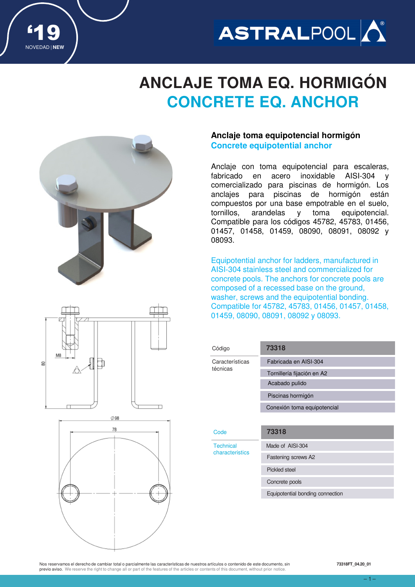

## **ANCLAJE TOMA EQ. HORMIGÓN CONCRETE EQ. ANCHOR**



'19

NOVEDAD | **NEW**

# M<sub>8</sub> ħ 8



### **Anclaje toma equipotencial hormigón Concrete equipotential anchor**

Anclaje con toma equipotencial para escaleras, fabricado en acero inoxidable AISI-304 y comercializado para piscinas de hormigón. Los anclajes para piscinas de hormigón están compuestos por una base empotrable en el suelo, tornillos, arandelas y toma equipotencial. Compatible para los códigos 45782, 45783, 01456, 01457, 01458, 01459, 08090, 08091, 08092 y 08093.

Equipotential anchor for ladders, manufactured in AISI‐304 stainless steel and commercialized for concrete pools. The anchors for concrete pools are composed of a recessed base on the ground, washer, screws and the equipotential bonding. Compatible for 45782, 45783, 01456, 01457, 01458, 01459, 08090, 08091, 08092 y 08093.

| Código                              | 73318                       |  |  |
|-------------------------------------|-----------------------------|--|--|
| Características<br>técnicas         | Fabricada en AISI-304       |  |  |
|                                     | Tornillería fijación en A2  |  |  |
|                                     | Acabado pulido              |  |  |
|                                     | Piscinas hormigón           |  |  |
|                                     | Conexión toma equipotencial |  |  |
|                                     |                             |  |  |
| Code                                | 73318                       |  |  |
| <b>Technical</b><br>characteristics | Made of AISI-304            |  |  |
|                                     | Fastening screws A2         |  |  |
|                                     |                             |  |  |
|                                     | Pickled steel               |  |  |
|                                     | Concrete pools              |  |  |